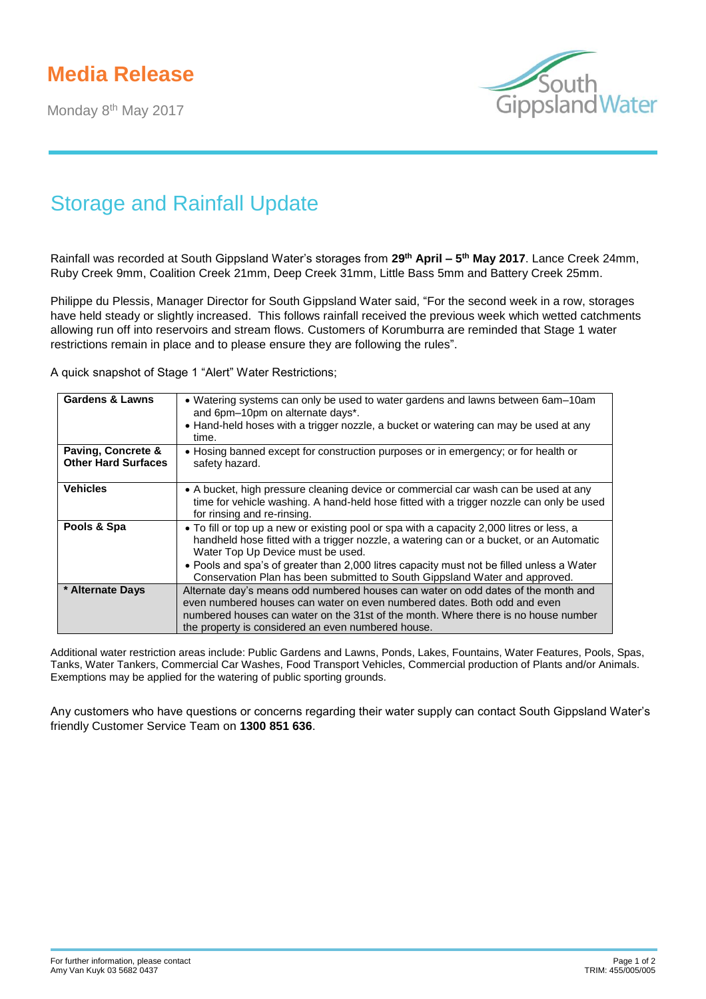## **Media Release**

Monday 8<sup>th</sup> May 2017



## Storage and Rainfall Update

Rainfall was recorded at South Gippsland Water's storages from **29 th April – 5 th May 2017**. Lance Creek 24mm, Ruby Creek 9mm, Coalition Creek 21mm, Deep Creek 31mm, Little Bass 5mm and Battery Creek 25mm.

Philippe du Plessis, Manager Director for South Gippsland Water said, "For the second week in a row, storages have held steady or slightly increased. This follows rainfall received the previous week which wetted catchments allowing run off into reservoirs and stream flows. Customers of Korumburra are reminded that Stage 1 water restrictions remain in place and to please ensure they are following the rules".

A quick snapshot of Stage 1 "Alert" Water Restrictions;

| <b>Gardens &amp; Lawns</b>                       | • Watering systems can only be used to water gardens and lawns between 6am-10am<br>and 6pm-10pm on alternate days*.<br>• Hand-held hoses with a trigger nozzle, a bucket or watering can may be used at any<br>time.                                                                                      |
|--------------------------------------------------|-----------------------------------------------------------------------------------------------------------------------------------------------------------------------------------------------------------------------------------------------------------------------------------------------------------|
| Paving, Concrete &<br><b>Other Hard Surfaces</b> | • Hosing banned except for construction purposes or in emergency; or for health or<br>safety hazard.                                                                                                                                                                                                      |
| <b>Vehicles</b>                                  | • A bucket, high pressure cleaning device or commercial car wash can be used at any<br>time for vehicle washing. A hand-held hose fitted with a trigger nozzle can only be used<br>for rinsing and re-rinsing.                                                                                            |
| Pools & Spa                                      | • To fill or top up a new or existing pool or spa with a capacity 2,000 litres or less, a<br>handheld hose fitted with a trigger nozzle, a watering can or a bucket, or an Automatic<br>Water Top Up Device must be used.                                                                                 |
|                                                  | . Pools and spa's of greater than 2,000 litres capacity must not be filled unless a Water<br>Conservation Plan has been submitted to South Gippsland Water and approved.                                                                                                                                  |
| * Alternate Days                                 | Alternate day's means odd numbered houses can water on odd dates of the month and<br>even numbered houses can water on even numbered dates. Both odd and even<br>numbered houses can water on the 31st of the month. Where there is no house number<br>the property is considered an even numbered house. |

Additional water restriction areas include: Public Gardens and Lawns, Ponds, Lakes, Fountains, Water Features, Pools, Spas, Tanks, Water Tankers, Commercial Car Washes, Food Transport Vehicles, Commercial production of Plants and/or Animals. Exemptions may be applied for the watering of public sporting grounds.

Any customers who have questions or concerns regarding their water supply can contact South Gippsland Water's friendly Customer Service Team on **1300 851 636**.